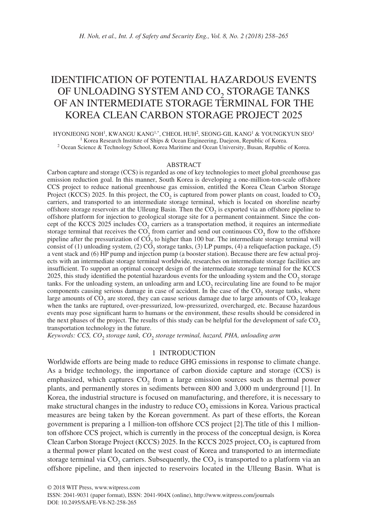# IDENTIFICATION OF POTENTIAL HAZARDOUS EVENTS OF UNLOADING SYSTEM AND CO<sub>2</sub> STORAGE TANKS OF AN INTERMEDIATE STORAGE TERMINAL FOR THE KOREA CLEAN CARBON STORAGE PROJECT 2025

HYONJEONG NOH<sup>1</sup>, KWANGU KANG<sup>1,\*</sup>, CHEOL HUH<sup>2</sup>, SEONG-GIL KANG<sup>1</sup> & YOUNGKYUN SEO<sup>1</sup> <sup>1</sup> Korea Research Institute of Ships & Ocean Engineering, Daejeon, Republic of Korea. 2 Ocean Science & Technology School, Korea Maritime and Ocean University, Busan, Republic of Korea.

#### ABSTRACT

Carbon capture and storage (CCS) is regarded as one of key technologies to meet global greenhouse gas emission reduction goal. In this manner, South Korea is developing a one-million-ton-scale offshore CCS project to reduce national greenhouse gas emission, entitled the Korea Clean Carbon Storage Project (KCCS) 2025. In this project, the  $CO<sub>2</sub>$  is captured from power plants on coast, loaded to  $CO<sub>2</sub>$ carriers, and transported to an intermediate storage terminal, which is located on shoreline nearby offshore storage reservoirs at the Ulleung Basin. Then the  $CO<sub>2</sub>$  is exported via an offshore pipeline to offshore platform for injection to geological storage site for a permanent containment. Since the concept of the KCCS 2025 includes CO<sub>2</sub> carriers as a transportation method, it requires an intermediate storage terminal that receives the  $CO<sub>2</sub>$  from carrier and send out continuous  $CO<sub>2</sub>$  flow to the offshore pipeline after the pressurization of  $C\overline{O}$ , to higher than 100 bar. The intermediate storage terminal will consist of (1) unloading system, (2)  $\overline{CO}$ , storage tanks, (3) LP pumps, (4) a reliquefaction package, (5) a vent stack and (6) HP pump and injection pump (a booster station). Because there are few actual projects with an intermediate storage terminal worldwide, researches on intermediate storage facilities are insufficient. To support an optimal concept design of the intermediate storage terminal for the KCCS  $2025$ , this study identified the potential hazardous events for the unloading system and the  $CO<sub>2</sub>$  storage tanks. For the unloading system, an unloading arm and  $LCO<sub>2</sub>$  recirculating line are found to be major components causing serious damage in case of accident. In the case of the  $CO<sub>2</sub>$  storage tanks, where large amounts of  $CO<sub>2</sub>$  are stored, they can cause serious damage due to large amounts of  $CO<sub>2</sub>$  leakage when the tanks are ruptured, over-pressurized, low-pressurized, overcharged, etc. Because hazardous events may pose significant harm to humans or the environment, these results should be considered in the next phases of the project. The results of this study can be helpful for the development of safe  $CO<sub>2</sub>$ transportation technology in the future.

*Keywords: CCS, CO*2 *storage tank, CO*2 *storage terminal, hazard, PHA, unloading arm*

## 1 INTRODUCTION

Worldwide efforts are being made to reduce GHG emissions in response to climate change. As a bridge technology, the importance of carbon dioxide capture and storage (CCS) is emphasized, which captures  $CO<sub>2</sub>$  from a large emission sources such as thermal power plants, and permanently stores in sediments between 800 and 3,000 m underground [1]. In Korea, the industrial structure is focused on manufacturing, and therefore, it is necessary to make structural changes in the industry to reduce  $CO<sub>2</sub>$  emissions in Korea. Various practical measures are being taken by the Korean government. As part of these efforts, the Korean government is preparing a 1 million-ton offshore CCS project [2].The title of this 1 millionton offshore CCS project, which is currently in the process of the conceptual design, is Korea Clean Carbon Storage Project (KCCS) 2025. In the KCCS 2025 project, CO<sub>2</sub> is captured from a thermal power plant located on the west coast of Korea and transported to an intermediate storage terminal via  $CO_2$  carriers. Subsequently, the  $CO_2$  is transported to a platform via an offshore pipeline, and then injected to reservoirs located in the Ulleung Basin. What is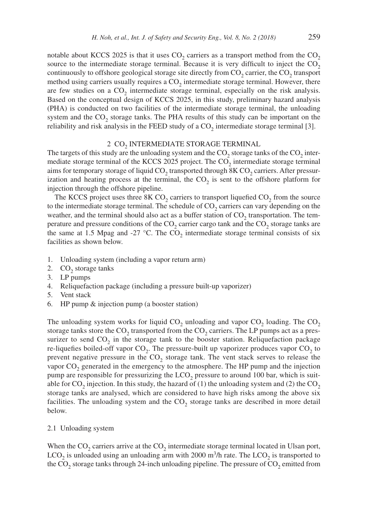notable about KCCS 2025 is that it uses  $CO<sub>2</sub>$  carriers as a transport method from the  $CO<sub>2</sub>$ source to the intermediate storage terminal. Because it is very difficult to inject the  $CO<sub>2</sub>$ continuously to offshore geological storage site directly from  $CO<sub>2</sub>$  carrier, the  $CO<sub>2</sub>$  transport method using carriers usually requires a  $CO<sub>2</sub>$  intermediate storage terminal. However, there are few studies on a  $CO<sub>2</sub>$  intermediate storage terminal, especially on the risk analysis. Based on the conceptual design of KCCS 2025, in this study, preliminary hazard analysis (PHA) is conducted on two facilities of the intermediate storage terminal, the unloading system and the  $CO<sub>2</sub>$  storage tanks. The PHA results of this study can be important on the reliability and risk analysis in the FEED study of a  $CO<sub>2</sub>$  intermediate storage terminal [3].

#### 2 CO<sub>2</sub> INTERMEDIATE STORAGE TERMINAL

The targets of this study are the unloading system and the  $CO<sub>2</sub>$  storage tanks of the  $CO<sub>2</sub>$  intermediate storage terminal of the KCCS 2025 project. The CO<sub>2</sub> intermediate storage terminal aims for temporary storage of liquid  $CO_2$  transported through 8K  $CO_2$  carriers. After pressurization and heating process at the terminal, the  $CO<sub>2</sub>$  is sent to the offshore platform for injection through the offshore pipeline.

The KCCS project uses three  $8KCO<sub>2</sub>$  carriers to transport liquefied  $CO<sub>2</sub>$  from the source to the intermediate storage terminal. The schedule of  $CO<sub>2</sub>$  carriers can vary depending on the weather, and the terminal should also act as a buffer station of  $CO<sub>2</sub>$  transportation. The temperature and pressure conditions of the  $CO<sub>2</sub>$  carrier cargo tank and the  $CO<sub>2</sub>$  storage tanks are the same at 1.5 Mpag and -27  $\degree$ C. The CO<sub>2</sub> intermediate storage terminal consists of six facilities as shown below.

- 1. Unloading system (including a vapor return arm)
- 2. CO<sub>2</sub> storage tanks
- 3. LP pumps
- 4. Reliquefaction package (including a pressure built-up vaporizer)
- 5. Vent stack
- 6. HP pump & injection pump (a booster station)

The unloading system works for liquid  $CO<sub>2</sub>$  unloading and vapor  $CO<sub>2</sub>$  loading. The  $CO<sub>2</sub>$ storage tanks store the  $CO_2$  transported from the  $CO_2$  carriers. The LP pumps act as a pressurizer to send  $CO<sub>2</sub>$  in the storage tank to the booster station. Reliquefaction package re-liquefies boiled-off vapor  $CO<sub>2</sub>$ . The pressure-built up vaporizer produces vapor  $CO<sub>2</sub>$  to prevent negative pressure in the CO<sub>2</sub> storage tank. The vent stack serves to release the vapor  $CO<sub>2</sub>$  generated in the emergency to the atmosphere. The HP pump and the injection pump are responsible for pressurizing the  $LCO<sub>2</sub>$  pressure to around 100 bar, which is suitable for  $CO<sub>2</sub>$  injection. In this study, the hazard of (1) the unloading system and (2) the  $CO<sub>2</sub>$ storage tanks are analysed, which are considered to have high risks among the above six facilities. The unloading system and the  $CO<sub>2</sub>$  storage tanks are described in more detail below.

#### 2.1 Unloading system

When the  $CO<sub>2</sub>$  carriers arrive at the  $CO<sub>2</sub>$  intermediate storage terminal located in Ulsan port,  $LCO<sub>2</sub>$  is unloaded using an unloading arm with 2000 m<sup>3</sup>/h rate. The  $LCO<sub>2</sub>$  is transported to the  $CO_2$  storage tanks through 24-inch unloading pipeline. The pressure of  $CO_2$  emitted from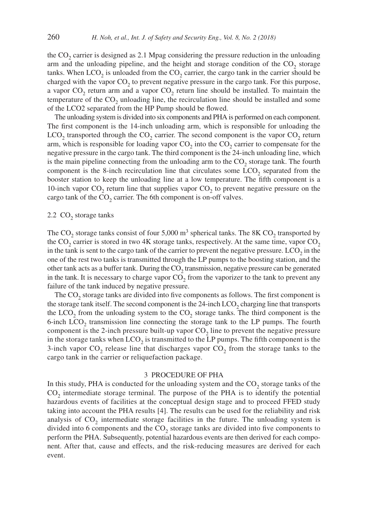the  $CO<sub>2</sub>$  carrier is designed as 2.1 Mpag considering the pressure reduction in the unloading arm and the unloading pipeline, and the height and storage condition of the  $CO<sub>2</sub>$  storage tanks. When  $LCO<sub>2</sub>$  is unloaded from the  $CO<sub>2</sub>$  carrier, the cargo tank in the carrier should be charged with the vapor  $CO<sub>2</sub>$  to prevent negative pressure in the cargo tank. For this purpose, a vapor  $CO<sub>2</sub>$  return arm and a vapor  $CO<sub>2</sub>$  return line should be installed. To maintain the temperature of the  $CO<sub>2</sub>$  unloading line, the recirculation line should be installed and some of the LCO2 separated from the HP Pump should be flowed.

The unloading system is divided into six components and PHA is performed on each component. The first component is the 14-inch unloading arm, which is responsible for unloading the LCO<sub>2</sub> transported through the CO<sub>2</sub> carrier. The second component is the vapor CO<sub>2</sub> return arm, which is responsible for loading vapor  $CO<sub>2</sub>$  into the  $CO<sub>2</sub>$  carrier to compensate for the negative pressure in the cargo tank. The third component is the 24-inch unloading line, which is the main pipeline connecting from the unloading arm to the  $CO<sub>2</sub>$  storage tank. The fourth component is the 8-inch recirculation line that circulates some LCO<sub>2</sub> separated from the booster station to keep the unloading line at a low temperature. The fifth component is a 10-inch vapor  $CO<sub>2</sub>$  return line that supplies vapor  $CO<sub>2</sub>$  to prevent negative pressure on the cargo tank of the  $CO<sub>2</sub>$  carrier. The 6th component is on-off valves.

# 2.2 CO<sub>2</sub> storage tanks

The CO<sub>2</sub> storage tanks consist of four 5,000 m<sup>3</sup> spherical tanks. The 8K CO<sub>2</sub> transported by the CO<sub>2</sub> carrier is stored in two 4K storage tanks, respectively. At the same time, vapor  $CO<sub>2</sub>$ in the tank is sent to the cargo tank of the carrier to prevent the negative pressure. LCO<sub>2</sub> in the one of the rest two tanks is transmitted through the LP pumps to the boosting station, and the other tank acts as a buffer tank. During the  $CO<sub>2</sub>$  transmission, negative pressure can be generated in the tank. It is necessary to charge vapor  $CO<sub>2</sub>$  from the vaporizer to the tank to prevent any failure of the tank induced by negative pressure.

The CO<sub>2</sub> storage tanks are divided into five components as follows. The first component is the storage tank itself. The second component is the  $24$ -inch  $LCO<sub>2</sub>$  charging line that transports the LCO<sub>2</sub> from the unloading system to the CO<sub>2</sub> storage tanks. The third component is the 6-inch LCO<sub>2</sub> transmission line connecting the storage tank to the LP pumps. The fourth component is the 2-inch pressure built-up vapor  $CO<sub>2</sub>$  line to prevent the negative pressure in the storage tanks when  $LCO<sub>2</sub>$  is transmitted to the LP pumps. The fifth component is the 3-inch vapor  $CO_2$  release line that discharges vapor  $CO_2$  from the storage tanks to the cargo tank in the carrier or reliquefaction package.

#### 3 PROCEDURE OF PHA

In this study, PHA is conducted for the unloading system and the  $CO<sub>2</sub>$  storage tanks of the  $CO<sub>2</sub>$  intermediate storage terminal. The purpose of the PHA is to identify the potential hazardous events of facilities at the conceptual design stage and to proceed FFED study taking into account the PHA results [4]. The results can be used for the reliability and risk analysis of  $CO<sub>2</sub>$  intermediate storage facilities in the future. The unloading system is divided into 6 components and the  $CO<sub>2</sub>$  storage tanks are divided into five components to perform the PHA. Subsequently, potential hazardous events are then derived for each component. After that, cause and effects, and the risk-reducing measures are derived for each event.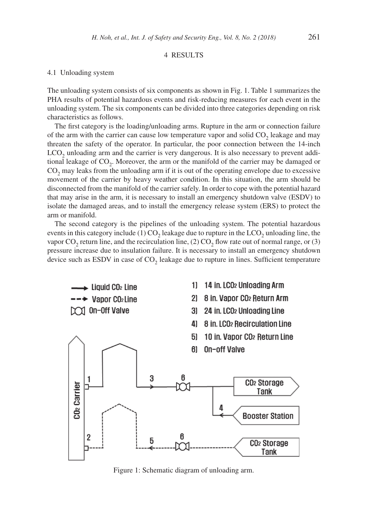# 4 RESULTS

#### 4.1 Unloading system

The unloading system consists of six components as shown in Fig. 1. Table 1 summarizes the PHA results of potential hazardous events and risk-reducing measures for each event in the unloading system. The six components can be divided into three categories depending on risk characteristics as follows.

The first category is the loading/unloading arms. Rupture in the arm or connection failure of the arm with the carrier can cause low temperature vapor and solid  $CO<sub>2</sub>$  leakage and may threaten the safety of the operator. In particular, the poor connection between the 14-inch  $LCO<sub>2</sub>$  unloading arm and the carrier is very dangerous. It is also necessary to prevent additional leakage of  $CO<sub>2</sub>$ . Moreover, the arm or the manifold of the carrier may be damaged or CO<sub>2</sub> may leaks from the unloading arm if it is out of the operating envelope due to excessive movement of the carrier by heavy weather condition. In this situation, the arm should be disconnected from the manifold of the carrier safely. In order to cope with the potential hazard that may arise in the arm, it is necessary to install an emergency shutdown valve (ESDV) to isolate the damaged areas, and to install the emergency release system (ERS) to protect the arm or manifold.

The second category is the pipelines of the unloading system. The potential hazardous events in this category include (1)  $CO<sub>2</sub>$  leakage due to rupture in the  $LCO<sub>2</sub>$  unloading line, the vapor  $CO<sub>2</sub>$  return line, and the recirculation line, (2)  $CO<sub>2</sub>$  flow rate out of normal range, or (3) pressure increase due to insulation failure. It is necessary to install an emergency shutdown device such as ESDV in case of  $CO<sub>2</sub>$  leakage due to rupture in lines. Sufficient temperature



Figure 1: Schematic diagram of unloading arm.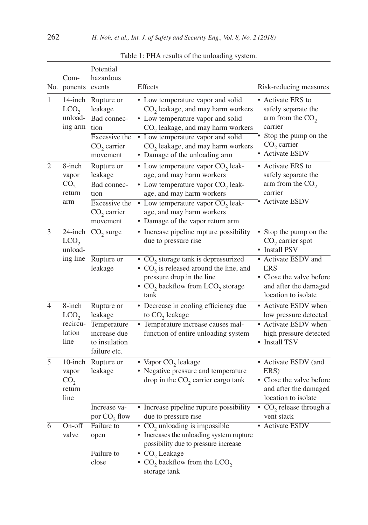|                | Com-<br>No. ponents events                                             | Potential<br>hazardous                                                                              | Effects                                                                                                                                                                                                                                                                               | Risk-reducing measures                                                                                                                                                         |
|----------------|------------------------------------------------------------------------|-----------------------------------------------------------------------------------------------------|---------------------------------------------------------------------------------------------------------------------------------------------------------------------------------------------------------------------------------------------------------------------------------------|--------------------------------------------------------------------------------------------------------------------------------------------------------------------------------|
| 1              | LCO <sub>2</sub><br>unload-<br>ing arm                                 | 14-inch Rupture or<br>leakage<br>Bad connec-<br>tion<br>Excessive the<br>$CO2$ carrier<br>movement  | • Low temperature vapor and solid<br>$CO2$ leakage, and may harm workers<br>• Low temperature vapor and solid<br>CO <sub>2</sub> leakage, and may harm workers<br>• Low temperature vapor and solid<br>CO <sub>2</sub> leakage, and may harm workers<br>• Damage of the unloading arm | • Activate ERS to<br>safely separate the<br>arm from the $CO2$<br>carrier<br>Stop the pump on the<br>$CO2$ carrier<br>• Activate ESDV                                          |
| $\overline{2}$ | 8-inch<br>vapor<br>CO <sub>2</sub><br>return<br>arm                    | Rupture or<br>leakage<br>Bad connec-<br>tion<br>Excessive the<br>$CO2$ carrier<br>movement          | • Low temperature vapor $CO2$ leak-<br>age, and may harm workers<br>• Low temperature vapor $CO2$ leak-<br>age, and may harm workers<br>• Low temperature vapor $CO2$ leak-<br>age, and may harm workers<br>• Damage of the vapor return arm                                          | • Activate ERS to<br>safely separate the<br>arm from the $CO2$<br>carrier<br>• Activate ESDV                                                                                   |
| 3              | LCO <sub>2</sub><br>unload-<br>ing line                                | 24-inch $CO_2$ surge<br>Rupture or<br>leakage                                                       | • Increase pipeline rupture possibility<br>due to pressure rise<br>$\overline{\bullet}$ CO <sub>2</sub> storage tank is depressurized<br>• $CO2$ is released around the line, and<br>pressure drop in the line<br>• $CO2$ backflow from LCO <sub>2</sub> storage<br>tank              | • Stop the pump on the<br>$CO2$ carrier spot<br>• Install PSV<br>• Activate ESDV and<br><b>ERS</b><br>• Close the valve before<br>and after the damaged<br>location to isolate |
| 4<br>5         | 8-inch<br>LCO <sub>2</sub><br>recircu-<br>lation<br>line<br>$10$ -inch | Rupture or<br>leakage<br>Temperature<br>increase due<br>to insulation<br>failure etc.<br>Rupture or | • Decrease in cooling efficiency due<br>to $CO2$ leakage<br>• Temperature increase causes mal-<br>function of entire unloading system<br>• Vapor CO <sub>2</sub> leakage                                                                                                              | • Activate ESDV when<br>low pressure detected<br>• Activate ESDV when<br>high pressure detected<br>• Install TSV<br>• Activate ESDV (and                                       |
|                | vapor<br>CO <sub>2</sub><br>return<br>line                             | leakage<br>Increase va-                                                                             | • Negative pressure and temperature<br>drop in the CO <sub>2</sub> carrier cargo tank<br>• Increase pipeline rupture possibility                                                                                                                                                      | ERS)<br>Close the valve before<br>and after the damaged<br>location to isolate<br>CO <sub>2</sub> release through a                                                            |
| 6              | On-off<br>valve                                                        | por $CO2$ flow<br>Failure to<br>open<br>Failure to<br>close                                         | due to pressure rise<br>• CO <sub>2</sub> unloading is impossible<br>• Increases the unloading system rupture<br>possibility due to pressure increase<br>$\cdot$ CO <sub>2</sub> Leakage<br>• $CO2$ backflow from the LCO <sub>2</sub><br>storage tank                                | vent stack<br>• Activate ESDV                                                                                                                                                  |

Table 1: PHA results of the unloading system.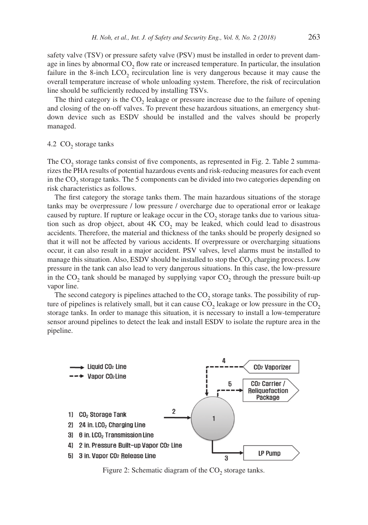safety valve (TSV) or pressure safety valve (PSV) must be installed in order to prevent damage in lines by abnormal  $CO<sub>2</sub>$  flow rate or increased temperature. In particular, the insulation failure in the 8-inch  $LCO<sub>2</sub>$  recirculation line is very dangerous because it may cause the overall temperature increase of whole unloading system. Therefore, the risk of recirculation line should be sufficiently reduced by installing TSVs.

The third category is the  $CO<sub>2</sub>$  leakage or pressure increase due to the failure of opening and closing of the on-off valves. To prevent these hazardous situations, an emergency shutdown device such as ESDV should be installed and the valves should be properly managed.

4.2  $CO<sub>2</sub>$  storage tanks

The  $CO<sub>2</sub>$  storage tanks consist of five components, as represented in Fig. 2. Table 2 summarizes the PHA results of potential hazardous events and risk-reducing measures for each event in the  $CO<sub>2</sub>$  storage tanks. The 5 components can be divided into two categories depending on risk characteristics as follows.

The first category the storage tanks them. The main hazardous situations of the storage tanks may be overpressure / low pressure / overcharge due to operational error or leakage caused by rupture. If rupture or leakage occur in the  $CO<sub>2</sub>$  storage tanks due to various situation such as drop object, about  $4K CO<sub>2</sub>$  may be leaked, which could lead to disastrous accidents. Therefore, the material and thickness of the tanks should be properly designed so that it will not be affected by various accidents. If overpressure or overcharging situations occur, it can also result in a major accident. PSV valves, level alarms must be installed to manage this situation. Also, ESDV should be installed to stop the  $CO<sub>2</sub>$  charging process. Low pressure in the tank can also lead to very dangerous situations. In this case, the low-pressure in the  $CO_2$  tank should be managed by supplying vapor  $CO_2$  through the pressure built-up vapor line.

The second category is pipelines attached to the  $CO<sub>2</sub>$  storage tanks. The possibility of rupture of pipelines is relatively small, but it can cause  $CO<sub>2</sub>$  leakage or low pressure in the  $CO<sub>2</sub>$ storage tanks. In order to manage this situation, it is necessary to install a low-temperature sensor around pipelines to detect the leak and install ESDV to isolate the rupture area in the pipeline.



Figure 2: Schematic diagram of the  $CO<sub>2</sub>$  storage tanks.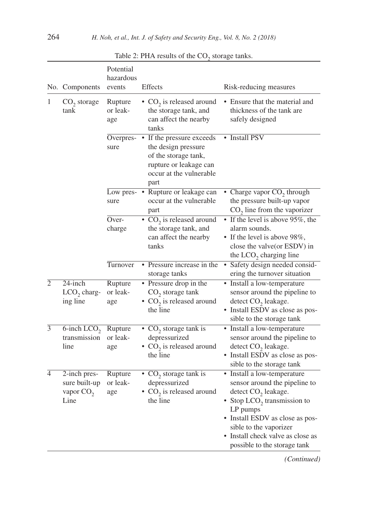|                | No. Components                                                | Potential<br>hazardous<br>events | <b>Effects</b>                                                                                                                                  | Risk-reducing measures                                                                                                                                                                                                                                                         |
|----------------|---------------------------------------------------------------|----------------------------------|-------------------------------------------------------------------------------------------------------------------------------------------------|--------------------------------------------------------------------------------------------------------------------------------------------------------------------------------------------------------------------------------------------------------------------------------|
| 1              | $CO2$ storage<br>tank                                         | Rupture<br>or leak-<br>age       | • $CO2$ is released around<br>the storage tank, and<br>can affect the nearby<br>tanks                                                           | • Ensure that the material and<br>thickness of the tank are<br>safely designed                                                                                                                                                                                                 |
|                |                                                               | sure                             | Overpres- • If the pressure exceeds<br>the design pressure<br>of the storage tank,<br>rupture or leakage can<br>occur at the vulnerable<br>part | • Install PSV                                                                                                                                                                                                                                                                  |
|                |                                                               | sure                             | Low pres- • Rupture or leakage can<br>occur at the vulnerable<br>part                                                                           | • Charge vapor $CO2$ through<br>the pressure built-up vapor<br>$CO2$ line from the vaporizer                                                                                                                                                                                   |
|                |                                                               | Over-<br>charge                  | • $CO2$ is released around<br>the storage tank, and<br>can affect the nearby<br>tanks                                                           | • If the level is above 95%, the<br>alarm sounds.<br>• If the level is above 98%,<br>close the valve(or ESDV) in<br>the $LCO2$ charging line                                                                                                                                   |
|                |                                                               | Turnover                         | • Pressure increase in the<br>storage tanks                                                                                                     | Safety design needed consid-<br>٠<br>ering the turnover situation                                                                                                                                                                                                              |
| $\overline{2}$ | 24-inch<br>$LCO2$ charg-<br>ing line                          | Rupture<br>or leak-<br>age       | • Pressure drop in the<br>$CO2$ storage tank<br>• $CO2$ is released around<br>the line                                                          | • Install a low-temperature<br>sensor around the pipeline to<br>detect $CO2$ leakage.<br>• Install ESDV as close as pos-<br>sible to the storage tank                                                                                                                          |
| $\overline{3}$ | $\overline{6}$ -inch LCO <sub>2</sub><br>transmission<br>line | Rupture<br>or leak-<br>age       | • $CO2$ storage tank is<br>depressurized<br>• $CO2$ is released around<br>the line                                                              | • Install a low-temperature<br>sensor around the pipeline to<br>detect $CO2$ leakage.<br>• Install ESDV as close as pos-<br>sible to the storage tank                                                                                                                          |
| 4              | 2-inch pres-<br>sure built-up<br>vapor $CO2$<br>Line          | Rupture<br>or leak-<br>age       | • $CO2$ storage tank is<br>depressurized<br>• $CO2$ is released around<br>the line                                                              | • Install a low-temperature<br>sensor around the pipeline to<br>detect $CO2$ leakage.<br>• Stop LCO <sub>2</sub> transmission to<br>LP pumps<br>• Install ESDV as close as pos-<br>sible to the vaporizer<br>• Install check valve as close as<br>possible to the storage tank |

Table 2: PHA results of the  $CO<sub>2</sub>$  storage tanks.

*(Continued)*